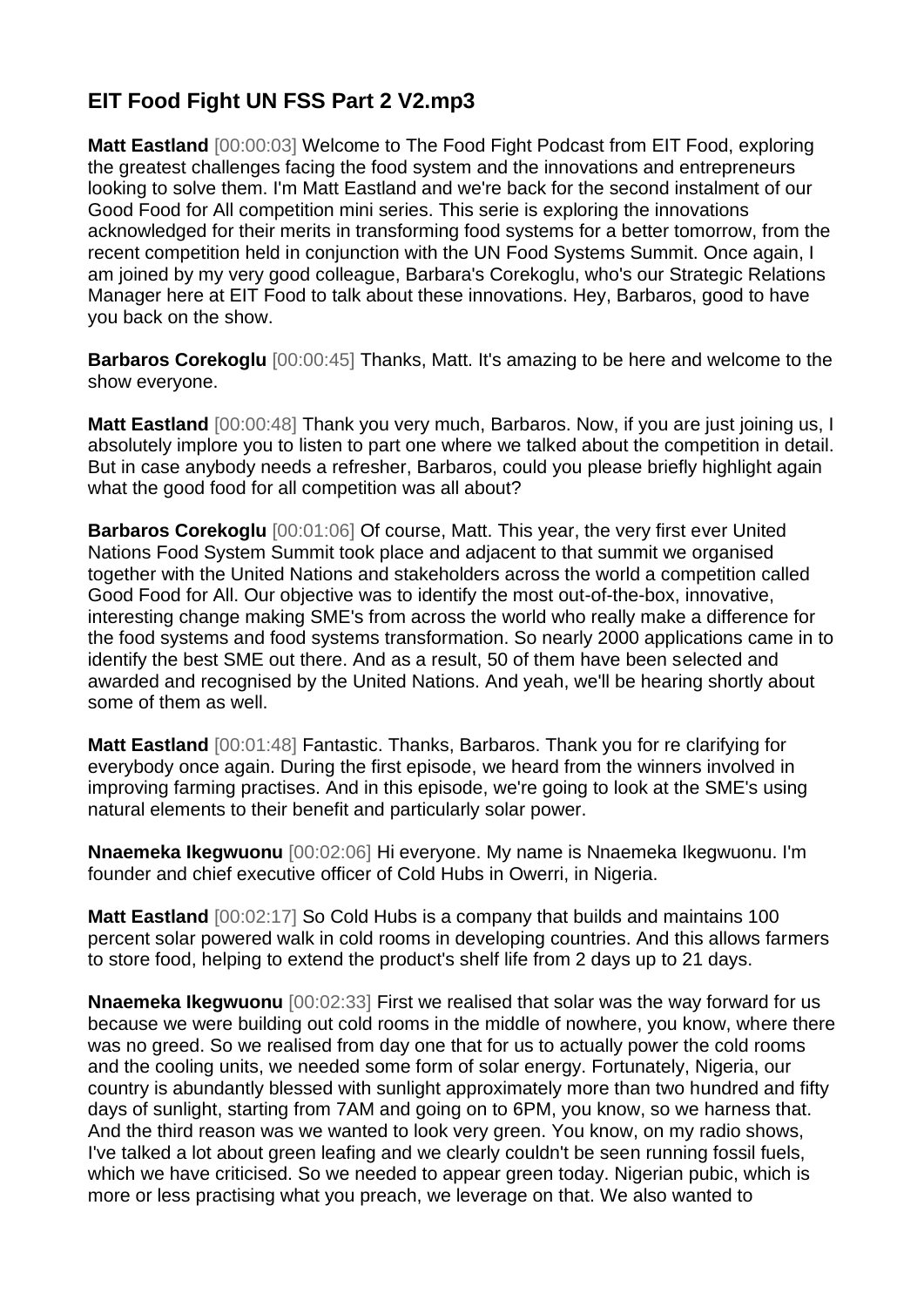## **EIT Food Fight UN FSS Part 2 V2.mp3**

**Matt Eastland** [00:00:03] Welcome to The Food Fight Podcast from EIT Food, exploring the greatest challenges facing the food system and the innovations and entrepreneurs looking to solve them. I'm Matt Eastland and we're back for the second instalment of our Good Food for All competition mini series. This serie is exploring the innovations acknowledged for their merits in transforming food systems for a better tomorrow, from the recent competition held in conjunction with the UN Food Systems Summit. Once again, I am joined by my very good colleague, Barbara's Corekoglu, who's our Strategic Relations Manager here at EIT Food to talk about these innovations. Hey, Barbaros, good to have you back on the show.

**Barbaros Corekoglu** [00:00:45] Thanks, Matt. It's amazing to be here and welcome to the show everyone.

**Matt Eastland** [00:00:48] Thank you very much, Barbaros. Now, if you are just joining us, I absolutely implore you to listen to part one where we talked about the competition in detail. But in case anybody needs a refresher, Barbaros, could you please briefly highlight again what the good food for all competition was all about?

**Barbaros Corekoglu** [00:01:06] Of course, Matt. This year, the very first ever United Nations Food System Summit took place and adjacent to that summit we organised together with the United Nations and stakeholders across the world a competition called Good Food for All. Our objective was to identify the most out-of-the-box, innovative, interesting change making SME's from across the world who really make a difference for the food systems and food systems transformation. So nearly 2000 applications came in to identify the best SME out there. And as a result, 50 of them have been selected and awarded and recognised by the United Nations. And yeah, we'll be hearing shortly about some of them as well.

**Matt Eastland** [00:01:48] Fantastic. Thanks, Barbaros. Thank you for re clarifying for everybody once again. During the first episode, we heard from the winners involved in improving farming practises. And in this episode, we're going to look at the SME's using natural elements to their benefit and particularly solar power.

**Nnaemeka Ikegwuonu** [00:02:06] Hi everyone. My name is Nnaemeka Ikegwuonu. I'm founder and chief executive officer of Cold Hubs in Owerri, in Nigeria.

**Matt Eastland** [00:02:17] So Cold Hubs is a company that builds and maintains 100 percent solar powered walk in cold rooms in developing countries. And this allows farmers to store food, helping to extend the product's shelf life from 2 days up to 21 days.

**Nnaemeka Ikegwuonu** [00:02:33] First we realised that solar was the way forward for us because we were building out cold rooms in the middle of nowhere, you know, where there was no greed. So we realised from day one that for us to actually power the cold rooms and the cooling units, we needed some form of solar energy. Fortunately, Nigeria, our country is abundantly blessed with sunlight approximately more than two hundred and fifty days of sunlight, starting from 7AM and going on to 6PM, you know, so we harness that. And the third reason was we wanted to look very green. You know, on my radio shows, I've talked a lot about green leafing and we clearly couldn't be seen running fossil fuels, which we have criticised. So we needed to appear green today. Nigerian pubic, which is more or less practising what you preach, we leverage on that. We also wanted to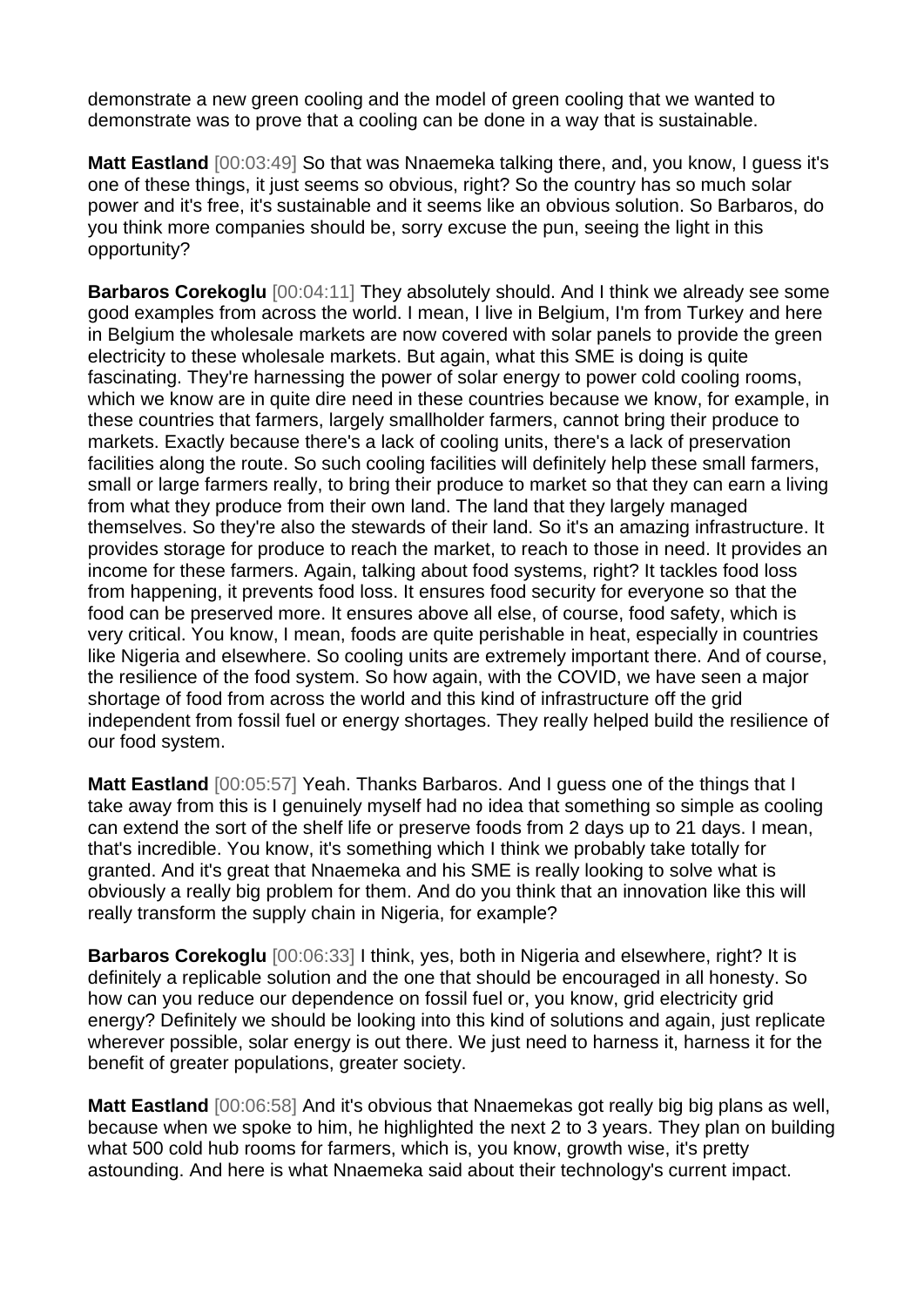demonstrate a new green cooling and the model of green cooling that we wanted to demonstrate was to prove that a cooling can be done in a way that is sustainable.

**Matt Eastland** [00:03:49] So that was Nnaemeka talking there, and, you know, I guess it's one of these things, it just seems so obvious, right? So the country has so much solar power and it's free, it's sustainable and it seems like an obvious solution. So Barbaros, do you think more companies should be, sorry excuse the pun, seeing the light in this opportunity?

**Barbaros Corekoglu** [00:04:11] They absolutely should. And I think we already see some good examples from across the world. I mean, I live in Belgium, I'm from Turkey and here in Belgium the wholesale markets are now covered with solar panels to provide the green electricity to these wholesale markets. But again, what this SME is doing is quite fascinating. They're harnessing the power of solar energy to power cold cooling rooms, which we know are in quite dire need in these countries because we know, for example, in these countries that farmers, largely smallholder farmers, cannot bring their produce to markets. Exactly because there's a lack of cooling units, there's a lack of preservation facilities along the route. So such cooling facilities will definitely help these small farmers, small or large farmers really, to bring their produce to market so that they can earn a living from what they produce from their own land. The land that they largely managed themselves. So they're also the stewards of their land. So it's an amazing infrastructure. It provides storage for produce to reach the market, to reach to those in need. It provides an income for these farmers. Again, talking about food systems, right? It tackles food loss from happening, it prevents food loss. It ensures food security for everyone so that the food can be preserved more. It ensures above all else, of course, food safety, which is very critical. You know, I mean, foods are quite perishable in heat, especially in countries like Nigeria and elsewhere. So cooling units are extremely important there. And of course, the resilience of the food system. So how again, with the COVID, we have seen a major shortage of food from across the world and this kind of infrastructure off the grid independent from fossil fuel or energy shortages. They really helped build the resilience of our food system.

**Matt Eastland** [00:05:57] Yeah. Thanks Barbaros. And I guess one of the things that I take away from this is I genuinely myself had no idea that something so simple as cooling can extend the sort of the shelf life or preserve foods from 2 days up to 21 days. I mean, that's incredible. You know, it's something which I think we probably take totally for granted. And it's great that Nnaemeka and his SME is really looking to solve what is obviously a really big problem for them. And do you think that an innovation like this will really transform the supply chain in Nigeria, for example?

**Barbaros Corekoglu** [00:06:33] I think, yes, both in Nigeria and elsewhere, right? It is definitely a replicable solution and the one that should be encouraged in all honesty. So how can you reduce our dependence on fossil fuel or, you know, grid electricity grid energy? Definitely we should be looking into this kind of solutions and again, just replicate wherever possible, solar energy is out there. We just need to harness it, harness it for the benefit of greater populations, greater society.

**Matt Eastland** [00:06:58] And it's obvious that Nnaemekas got really big big plans as well, because when we spoke to him, he highlighted the next 2 to 3 years. They plan on building what 500 cold hub rooms for farmers, which is, you know, growth wise, it's pretty astounding. And here is what Nnaemeka said about their technology's current impact.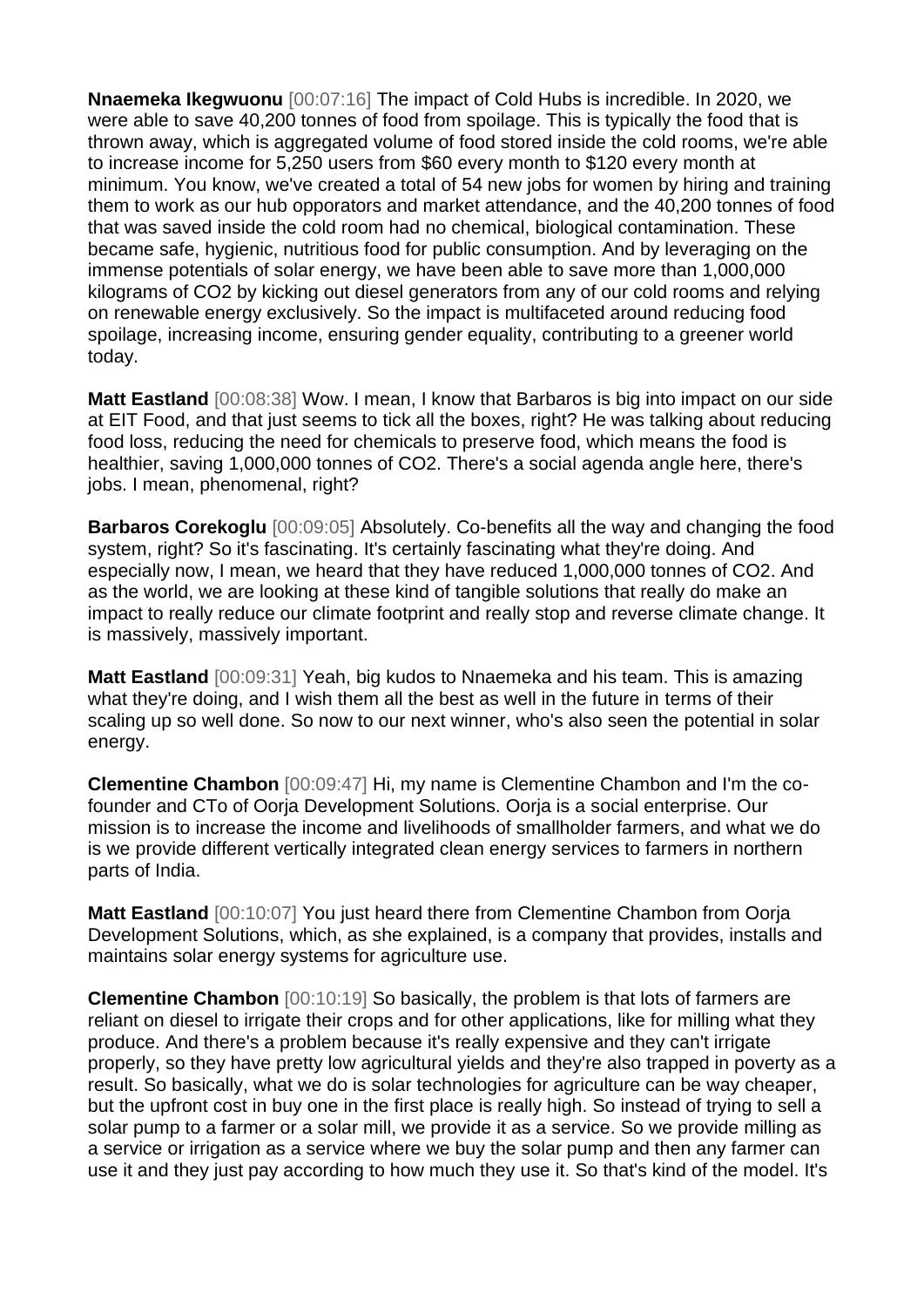**Nnaemeka Ikegwuonu** [00:07:16] The impact of Cold Hubs is incredible. In 2020, we were able to save 40,200 tonnes of food from spoilage. This is typically the food that is thrown away, which is aggregated volume of food stored inside the cold rooms, we're able to increase income for 5,250 users from \$60 every month to \$120 every month at minimum. You know, we've created a total of 54 new jobs for women by hiring and training them to work as our hub opporators and market attendance, and the 40,200 tonnes of food that was saved inside the cold room had no chemical, biological contamination. These became safe, hygienic, nutritious food for public consumption. And by leveraging on the immense potentials of solar energy, we have been able to save more than 1,000,000 kilograms of CO2 by kicking out diesel generators from any of our cold rooms and relying on renewable energy exclusively. So the impact is multifaceted around reducing food spoilage, increasing income, ensuring gender equality, contributing to a greener world today.

**Matt Eastland** [00:08:38] Wow. I mean, I know that Barbaros is big into impact on our side at EIT Food, and that just seems to tick all the boxes, right? He was talking about reducing food loss, reducing the need for chemicals to preserve food, which means the food is healthier, saving 1,000,000 tonnes of CO2. There's a social agenda angle here, there's jobs. I mean, phenomenal, right?

**Barbaros Corekoglu** [00:09:05] Absolutely. Co-benefits all the way and changing the food system, right? So it's fascinating. It's certainly fascinating what they're doing. And especially now, I mean, we heard that they have reduced 1,000,000 tonnes of CO2. And as the world, we are looking at these kind of tangible solutions that really do make an impact to really reduce our climate footprint and really stop and reverse climate change. It is massively, massively important.

**Matt Eastland** [00:09:31] Yeah, big kudos to Nnaemeka and his team. This is amazing what they're doing, and I wish them all the best as well in the future in terms of their scaling up so well done. So now to our next winner, who's also seen the potential in solar energy.

**Clementine Chambon** [00:09:47] Hi, my name is Clementine Chambon and I'm the cofounder and CTo of Oorja Development Solutions. Oorja is a social enterprise. Our mission is to increase the income and livelihoods of smallholder farmers, and what we do is we provide different vertically integrated clean energy services to farmers in northern parts of India.

**Matt Eastland** [00:10:07] You just heard there from Clementine Chambon from Oorja Development Solutions, which, as she explained, is a company that provides, installs and maintains solar energy systems for agriculture use.

**Clementine Chambon** [00:10:19] So basically, the problem is that lots of farmers are reliant on diesel to irrigate their crops and for other applications, like for milling what they produce. And there's a problem because it's really expensive and they can't irrigate properly, so they have pretty low agricultural yields and they're also trapped in poverty as a result. So basically, what we do is solar technologies for agriculture can be way cheaper, but the upfront cost in buy one in the first place is really high. So instead of trying to sell a solar pump to a farmer or a solar mill, we provide it as a service. So we provide milling as a service or irrigation as a service where we buy the solar pump and then any farmer can use it and they just pay according to how much they use it. So that's kind of the model. It's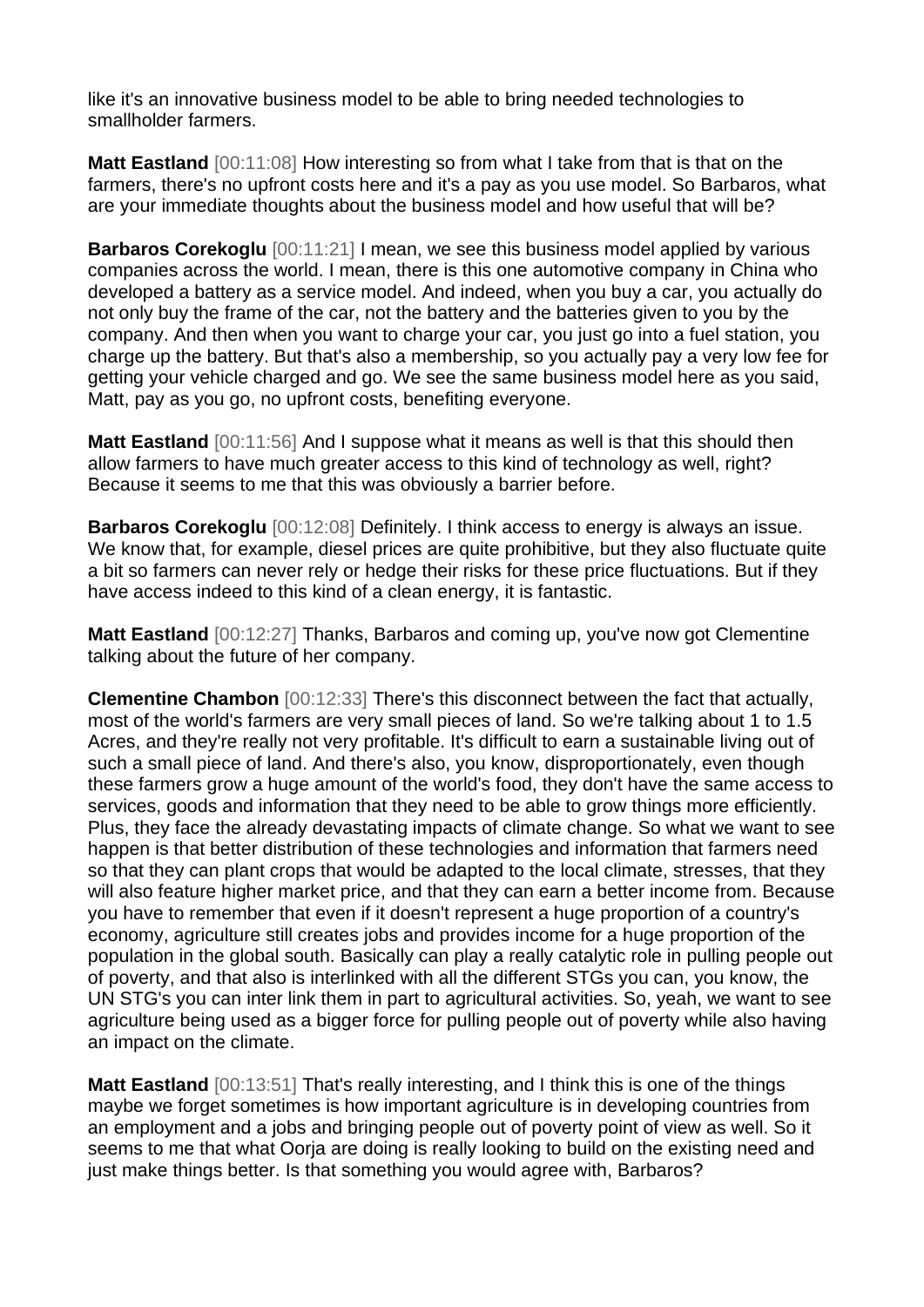like it's an innovative business model to be able to bring needed technologies to smallholder farmers.

**Matt Eastland** [00:11:08] How interesting so from what I take from that is that on the farmers, there's no upfront costs here and it's a pay as you use model. So Barbaros, what are your immediate thoughts about the business model and how useful that will be?

**Barbaros Corekoglu** [00:11:21] I mean, we see this business model applied by various companies across the world. I mean, there is this one automotive company in China who developed a battery as a service model. And indeed, when you buy a car, you actually do not only buy the frame of the car, not the battery and the batteries given to you by the company. And then when you want to charge your car, you just go into a fuel station, you charge up the battery. But that's also a membership, so you actually pay a very low fee for getting your vehicle charged and go. We see the same business model here as you said, Matt, pay as you go, no upfront costs, benefiting everyone.

**Matt Eastland** [00:11:56] And I suppose what it means as well is that this should then allow farmers to have much greater access to this kind of technology as well, right? Because it seems to me that this was obviously a barrier before.

**Barbaros Corekoglu** [00:12:08] Definitely. I think access to energy is always an issue. We know that, for example, diesel prices are quite prohibitive, but they also fluctuate quite a bit so farmers can never rely or hedge their risks for these price fluctuations. But if they have access indeed to this kind of a clean energy, it is fantastic.

**Matt Eastland** [00:12:27] Thanks, Barbaros and coming up, you've now got Clementine talking about the future of her company.

**Clementine Chambon** [00:12:33] There's this disconnect between the fact that actually, most of the world's farmers are very small pieces of land. So we're talking about 1 to 1.5 Acres, and they're really not very profitable. It's difficult to earn a sustainable living out of such a small piece of land. And there's also, you know, disproportionately, even though these farmers grow a huge amount of the world's food, they don't have the same access to services, goods and information that they need to be able to grow things more efficiently. Plus, they face the already devastating impacts of climate change. So what we want to see happen is that better distribution of these technologies and information that farmers need so that they can plant crops that would be adapted to the local climate, stresses, that they will also feature higher market price, and that they can earn a better income from. Because you have to remember that even if it doesn't represent a huge proportion of a country's economy, agriculture still creates jobs and provides income for a huge proportion of the population in the global south. Basically can play a really catalytic role in pulling people out of poverty, and that also is interlinked with all the different STGs you can, you know, the UN STG's you can inter link them in part to agricultural activities. So, yeah, we want to see agriculture being used as a bigger force for pulling people out of poverty while also having an impact on the climate.

**Matt Eastland** [00:13:51] That's really interesting, and I think this is one of the things maybe we forget sometimes is how important agriculture is in developing countries from an employment and a jobs and bringing people out of poverty point of view as well. So it seems to me that what Ooria are doing is really looking to build on the existing need and just make things better. Is that something you would agree with, Barbaros?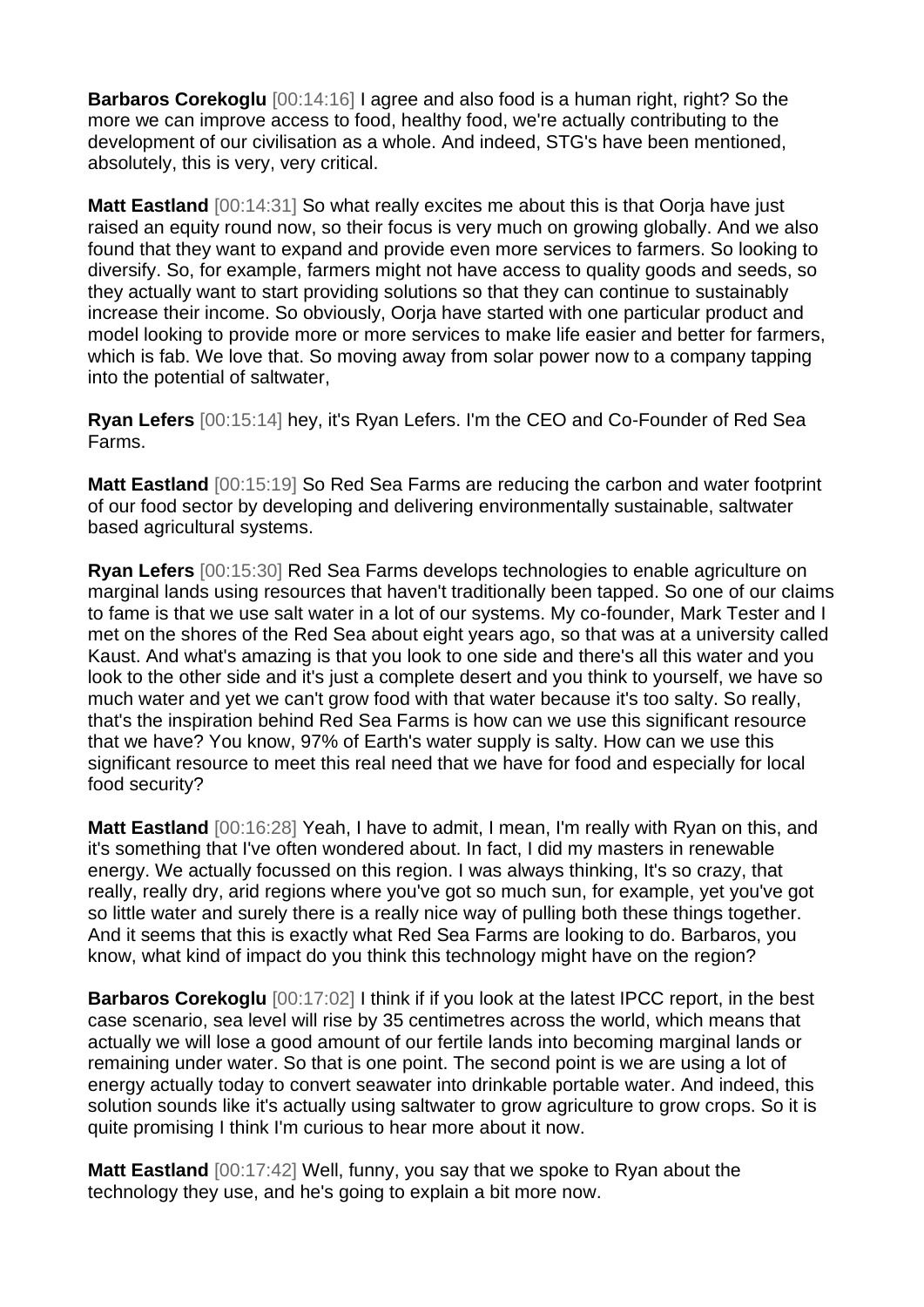**Barbaros Corekoglu** [00:14:16] I agree and also food is a human right, right? So the more we can improve access to food, healthy food, we're actually contributing to the development of our civilisation as a whole. And indeed, STG's have been mentioned, absolutely, this is very, very critical.

**Matt Eastland** [00:14:31] So what really excites me about this is that Oorja have just raised an equity round now, so their focus is very much on growing globally. And we also found that they want to expand and provide even more services to farmers. So looking to diversify. So, for example, farmers might not have access to quality goods and seeds, so they actually want to start providing solutions so that they can continue to sustainably increase their income. So obviously, Oorja have started with one particular product and model looking to provide more or more services to make life easier and better for farmers, which is fab. We love that. So moving away from solar power now to a company tapping into the potential of saltwater,

**Ryan Lefers** [00:15:14] hey, it's Ryan Lefers. I'm the CEO and Co-Founder of Red Sea Farms.

**Matt Eastland** [00:15:19] So Red Sea Farms are reducing the carbon and water footprint of our food sector by developing and delivering environmentally sustainable, saltwater based agricultural systems.

**Ryan Lefers** [00:15:30] Red Sea Farms develops technologies to enable agriculture on marginal lands using resources that haven't traditionally been tapped. So one of our claims to fame is that we use salt water in a lot of our systems. My co-founder, Mark Tester and I met on the shores of the Red Sea about eight years ago, so that was at a university called Kaust. And what's amazing is that you look to one side and there's all this water and you look to the other side and it's just a complete desert and you think to yourself, we have so much water and yet we can't grow food with that water because it's too salty. So really, that's the inspiration behind Red Sea Farms is how can we use this significant resource that we have? You know, 97% of Earth's water supply is salty. How can we use this significant resource to meet this real need that we have for food and especially for local food security?

**Matt Eastland** [00:16:28] Yeah, I have to admit, I mean, I'm really with Ryan on this, and it's something that I've often wondered about. In fact, I did my masters in renewable energy. We actually focussed on this region. I was always thinking, It's so crazy, that really, really dry, arid regions where you've got so much sun, for example, yet you've got so little water and surely there is a really nice way of pulling both these things together. And it seems that this is exactly what Red Sea Farms are looking to do. Barbaros, you know, what kind of impact do you think this technology might have on the region?

**Barbaros Corekoglu** [00:17:02] I think if if you look at the latest IPCC report, in the best case scenario, sea level will rise by 35 centimetres across the world, which means that actually we will lose a good amount of our fertile lands into becoming marginal lands or remaining under water. So that is one point. The second point is we are using a lot of energy actually today to convert seawater into drinkable portable water. And indeed, this solution sounds like it's actually using saltwater to grow agriculture to grow crops. So it is quite promising I think I'm curious to hear more about it now.

**Matt Eastland** [00:17:42] Well, funny, you say that we spoke to Ryan about the technology they use, and he's going to explain a bit more now.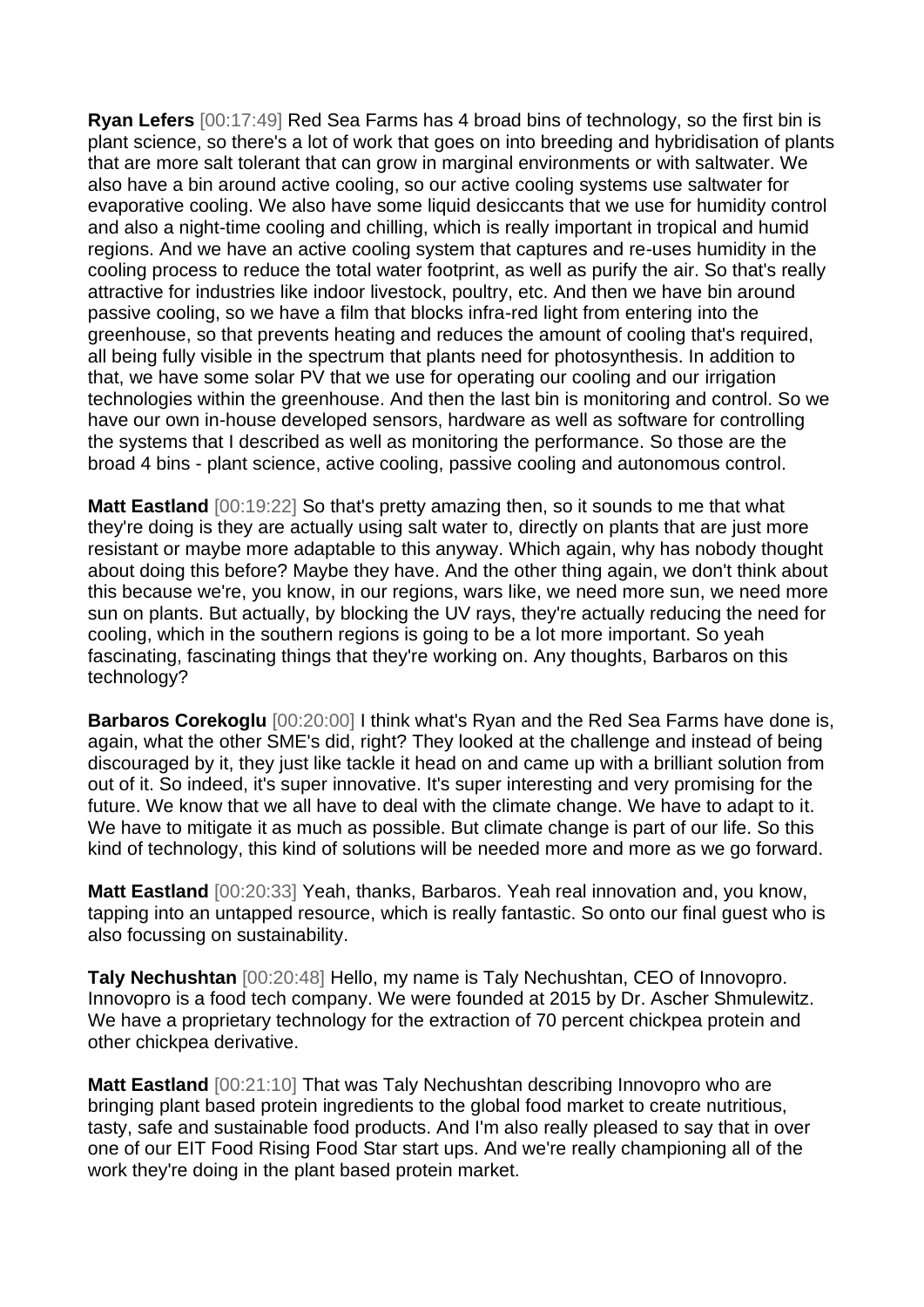**Ryan Lefers** [00:17:49] Red Sea Farms has 4 broad bins of technology, so the first bin is plant science, so there's a lot of work that goes on into breeding and hybridisation of plants that are more salt tolerant that can grow in marginal environments or with saltwater. We also have a bin around active cooling, so our active cooling systems use saltwater for evaporative cooling. We also have some liquid desiccants that we use for humidity control and also a night-time cooling and chilling, which is really important in tropical and humid regions. And we have an active cooling system that captures and re-uses humidity in the cooling process to reduce the total water footprint, as well as purify the air. So that's really attractive for industries like indoor livestock, poultry, etc. And then we have bin around passive cooling, so we have a film that blocks infra-red light from entering into the greenhouse, so that prevents heating and reduces the amount of cooling that's required, all being fully visible in the spectrum that plants need for photosynthesis. In addition to that, we have some solar PV that we use for operating our cooling and our irrigation technologies within the greenhouse. And then the last bin is monitoring and control. So we have our own in-house developed sensors, hardware as well as software for controlling the systems that I described as well as monitoring the performance. So those are the broad 4 bins - plant science, active cooling, passive cooling and autonomous control.

**Matt Eastland** [00:19:22] So that's pretty amazing then, so it sounds to me that what they're doing is they are actually using salt water to, directly on plants that are just more resistant or maybe more adaptable to this anyway. Which again, why has nobody thought about doing this before? Maybe they have. And the other thing again, we don't think about this because we're, you know, in our regions, wars like, we need more sun, we need more sun on plants. But actually, by blocking the UV rays, they're actually reducing the need for cooling, which in the southern regions is going to be a lot more important. So yeah fascinating, fascinating things that they're working on. Any thoughts, Barbaros on this technology?

**Barbaros Corekoglu** [00:20:00] I think what's Ryan and the Red Sea Farms have done is, again, what the other SME's did, right? They looked at the challenge and instead of being discouraged by it, they just like tackle it head on and came up with a brilliant solution from out of it. So indeed, it's super innovative. It's super interesting and very promising for the future. We know that we all have to deal with the climate change. We have to adapt to it. We have to mitigate it as much as possible. But climate change is part of our life. So this kind of technology, this kind of solutions will be needed more and more as we go forward.

**Matt Eastland** [00:20:33] Yeah, thanks, Barbaros. Yeah real innovation and, you know, tapping into an untapped resource, which is really fantastic. So onto our final guest who is also focussing on sustainability.

**Taly Nechushtan** [00:20:48] Hello, my name is Taly Nechushtan, CEO of Innovopro. Innovopro is a food tech company. We were founded at 2015 by Dr. Ascher Shmulewitz. We have a proprietary technology for the extraction of 70 percent chickpea protein and other chickpea derivative.

**Matt Eastland** [00:21:10] That was Taly Nechushtan describing Innovopro who are bringing plant based protein ingredients to the global food market to create nutritious, tasty, safe and sustainable food products. And I'm also really pleased to say that in over one of our EIT Food Rising Food Star start ups. And we're really championing all of the work they're doing in the plant based protein market.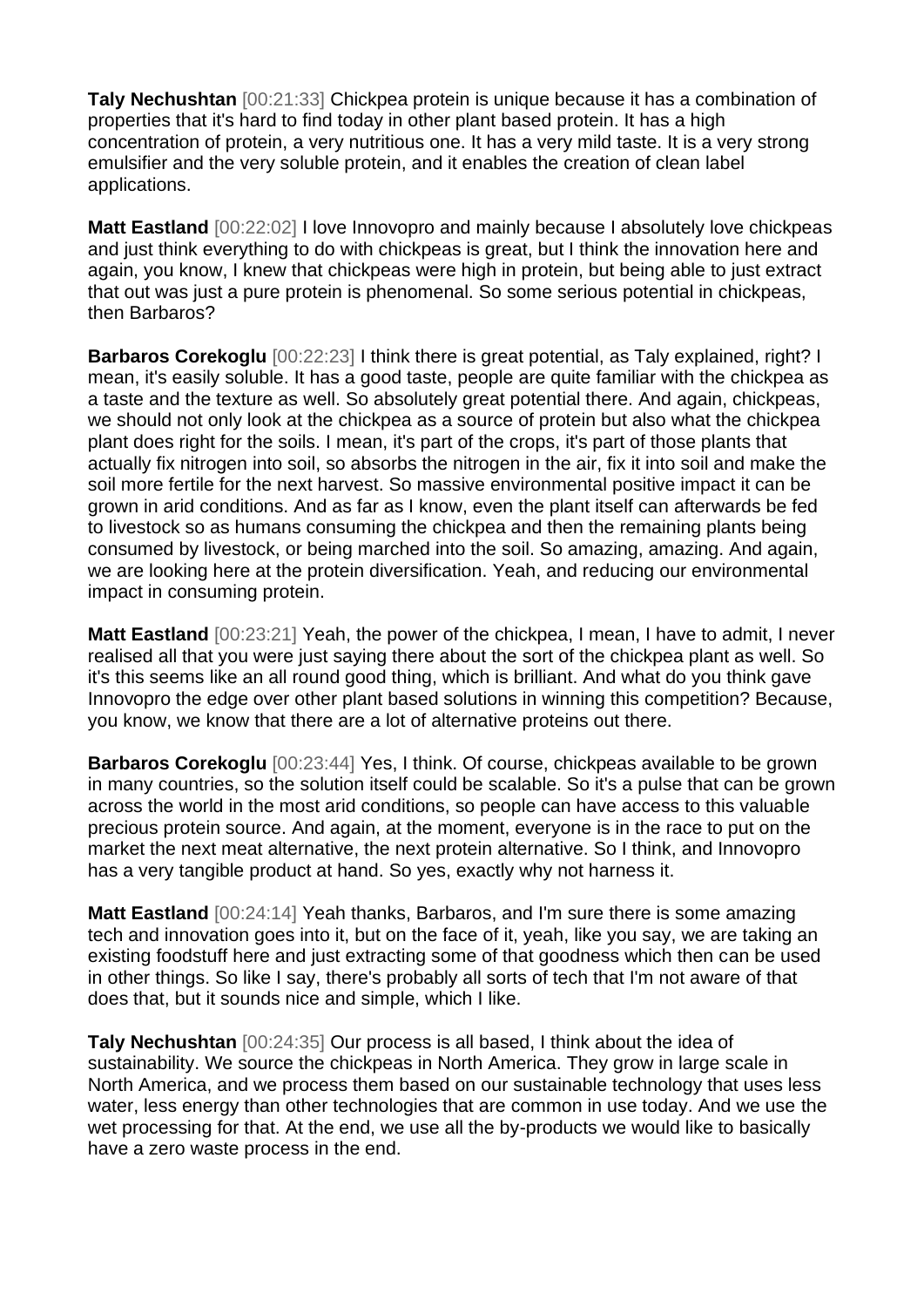**Taly Nechushtan** [00:21:33] Chickpea protein is unique because it has a combination of properties that it's hard to find today in other plant based protein. It has a high concentration of protein, a very nutritious one. It has a very mild taste. It is a very strong emulsifier and the very soluble protein, and it enables the creation of clean label applications.

**Matt Eastland** [00:22:02] I love Innovopro and mainly because I absolutely love chickpeas and just think everything to do with chickpeas is great, but I think the innovation here and again, you know, I knew that chickpeas were high in protein, but being able to just extract that out was just a pure protein is phenomenal. So some serious potential in chickpeas, then Barbaros?

**Barbaros Corekoglu** [00:22:23] I think there is great potential, as Taly explained, right? I mean, it's easily soluble. It has a good taste, people are quite familiar with the chickpea as a taste and the texture as well. So absolutely great potential there. And again, chickpeas, we should not only look at the chickpea as a source of protein but also what the chickpea plant does right for the soils. I mean, it's part of the crops, it's part of those plants that actually fix nitrogen into soil, so absorbs the nitrogen in the air, fix it into soil and make the soil more fertile for the next harvest. So massive environmental positive impact it can be grown in arid conditions. And as far as I know, even the plant itself can afterwards be fed to livestock so as humans consuming the chickpea and then the remaining plants being consumed by livestock, or being marched into the soil. So amazing, amazing. And again, we are looking here at the protein diversification. Yeah, and reducing our environmental impact in consuming protein.

**Matt Eastland** [00:23:21] Yeah, the power of the chickpea, I mean, I have to admit, I never realised all that you were just saying there about the sort of the chickpea plant as well. So it's this seems like an all round good thing, which is brilliant. And what do you think gave Innovopro the edge over other plant based solutions in winning this competition? Because, you know, we know that there are a lot of alternative proteins out there.

**Barbaros Corekoglu** [00:23:44] Yes, I think. Of course, chickpeas available to be grown in many countries, so the solution itself could be scalable. So it's a pulse that can be grown across the world in the most arid conditions, so people can have access to this valuable precious protein source. And again, at the moment, everyone is in the race to put on the market the next meat alternative, the next protein alternative. So I think, and Innovopro has a very tangible product at hand. So yes, exactly why not harness it.

**Matt Eastland** [00:24:14] Yeah thanks, Barbaros, and I'm sure there is some amazing tech and innovation goes into it, but on the face of it, yeah, like you say, we are taking an existing foodstuff here and just extracting some of that goodness which then can be used in other things. So like I say, there's probably all sorts of tech that I'm not aware of that does that, but it sounds nice and simple, which I like.

**Taly Nechushtan** [00:24:35] Our process is all based, I think about the idea of sustainability. We source the chickpeas in North America. They grow in large scale in North America, and we process them based on our sustainable technology that uses less water, less energy than other technologies that are common in use today. And we use the wet processing for that. At the end, we use all the by-products we would like to basically have a zero waste process in the end.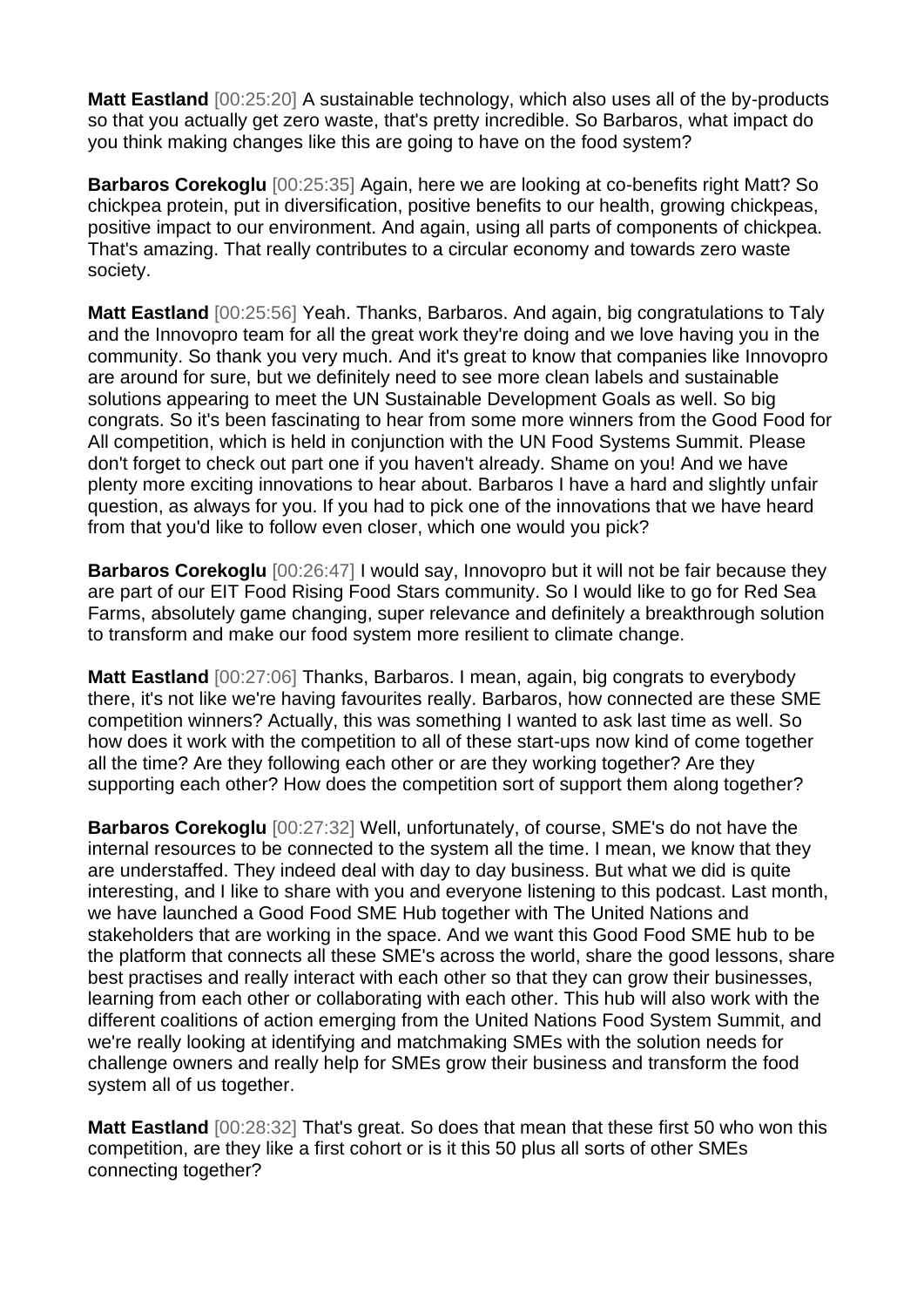**Matt Eastland** [00:25:20] A sustainable technology, which also uses all of the by-products so that you actually get zero waste, that's pretty incredible. So Barbaros, what impact do you think making changes like this are going to have on the food system?

**Barbaros Corekoglu** [00:25:35] Again, here we are looking at co-benefits right Matt? So chickpea protein, put in diversification, positive benefits to our health, growing chickpeas, positive impact to our environment. And again, using all parts of components of chickpea. That's amazing. That really contributes to a circular economy and towards zero waste society.

**Matt Eastland** [00:25:56] Yeah. Thanks, Barbaros. And again, big congratulations to Taly and the Innovopro team for all the great work they're doing and we love having you in the community. So thank you very much. And it's great to know that companies like Innovopro are around for sure, but we definitely need to see more clean labels and sustainable solutions appearing to meet the UN Sustainable Development Goals as well. So big congrats. So it's been fascinating to hear from some more winners from the Good Food for All competition, which is held in conjunction with the UN Food Systems Summit. Please don't forget to check out part one if you haven't already. Shame on you! And we have plenty more exciting innovations to hear about. Barbaros I have a hard and slightly unfair question, as always for you. If you had to pick one of the innovations that we have heard from that you'd like to follow even closer, which one would you pick?

**Barbaros Corekoglu** [00:26:47] I would say, Innovopro but it will not be fair because they are part of our EIT Food Rising Food Stars community. So I would like to go for Red Sea Farms, absolutely game changing, super relevance and definitely a breakthrough solution to transform and make our food system more resilient to climate change.

**Matt Eastland** [00:27:06] Thanks, Barbaros. I mean, again, big congrats to everybody there, it's not like we're having favourites really. Barbaros, how connected are these SME competition winners? Actually, this was something I wanted to ask last time as well. So how does it work with the competition to all of these start-ups now kind of come together all the time? Are they following each other or are they working together? Are they supporting each other? How does the competition sort of support them along together?

**Barbaros Corekoglu** [00:27:32] Well, unfortunately, of course, SME's do not have the internal resources to be connected to the system all the time. I mean, we know that they are understaffed. They indeed deal with day to day business. But what we did is quite interesting, and I like to share with you and everyone listening to this podcast. Last month, we have launched a Good Food SME Hub together with The United Nations and stakeholders that are working in the space. And we want this Good Food SME hub to be the platform that connects all these SME's across the world, share the good lessons, share best practises and really interact with each other so that they can grow their businesses, learning from each other or collaborating with each other. This hub will also work with the different coalitions of action emerging from the United Nations Food System Summit, and we're really looking at identifying and matchmaking SMEs with the solution needs for challenge owners and really help for SMEs grow their business and transform the food system all of us together.

**Matt Eastland** [00:28:32] That's great. So does that mean that these first 50 who won this competition, are they like a first cohort or is it this 50 plus all sorts of other SMEs connecting together?